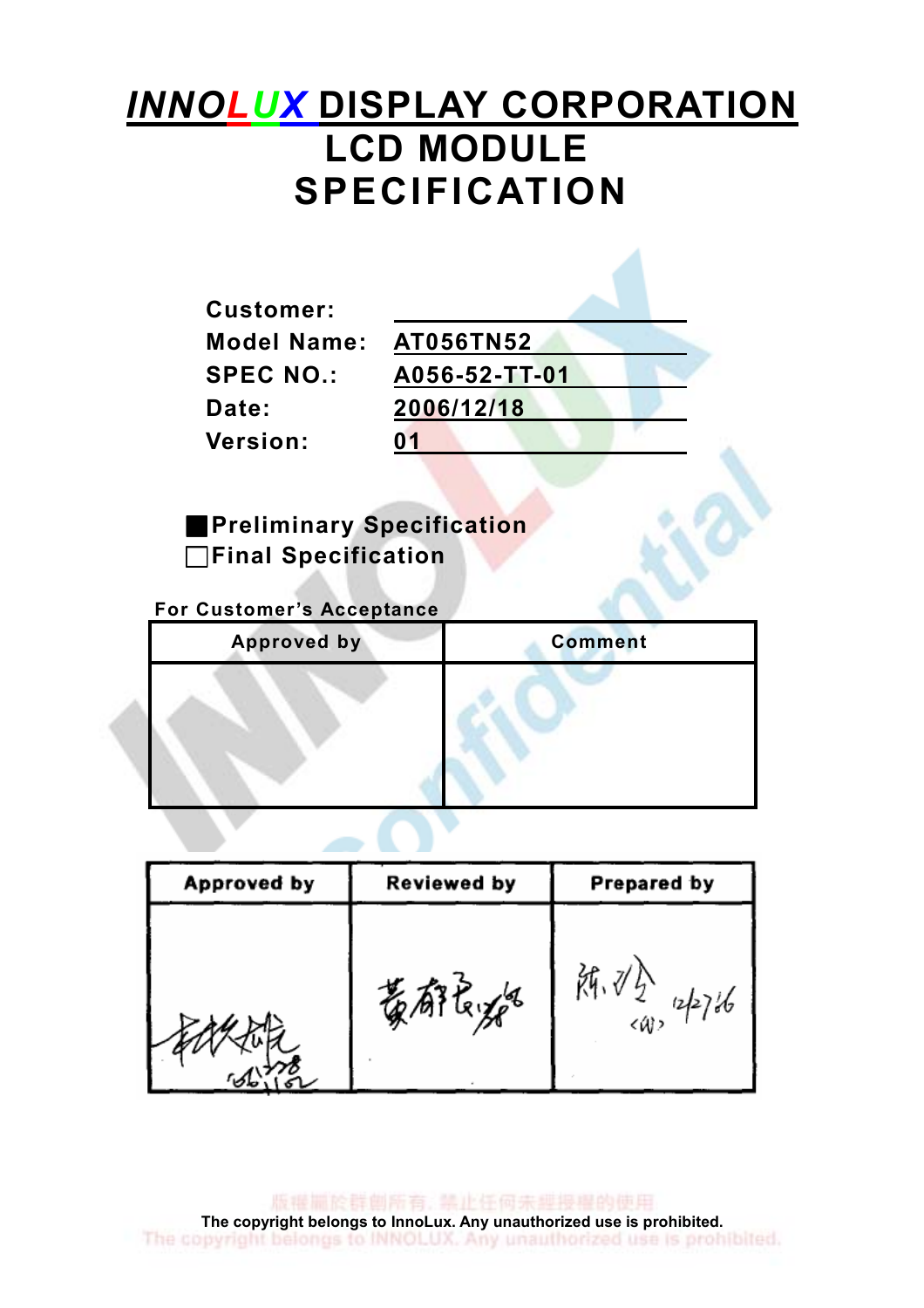## INNOLUX DISPLAY CORPORATION LCD MODULE SPECIFICATION

| <b>Customer:</b>   |                  |  |
|--------------------|------------------|--|
| <b>Model Name:</b> | <b>AT056TN52</b> |  |
| <b>SPEC NO.:</b>   | A056-52-TT-01    |  |
| <b>Date:</b>       | 2006/12/18       |  |
| <b>Version:</b>    | 01               |  |

**Preliminary Specification** □Final Specification

For Customer's Acceptance

| <b>Approved by</b> | <b>Comment</b> |
|--------------------|----------------|
|                    |                |
|                    |                |
|                    |                |

| Approved by | Reviewed by | Prepared by                   |  |  |
|-------------|-------------|-------------------------------|--|--|
|             | 黄郁白海        | 陈. R/A<br><a>&gt; 12/2766</a> |  |  |

版權圖於群創所有, 禁止任何未經授權的使用 The copyright belongs to InnoLux. Any unauthorized use is prohibited.<br>The copyright belongs to INNOLUX. Any unauthorized use is prohibited.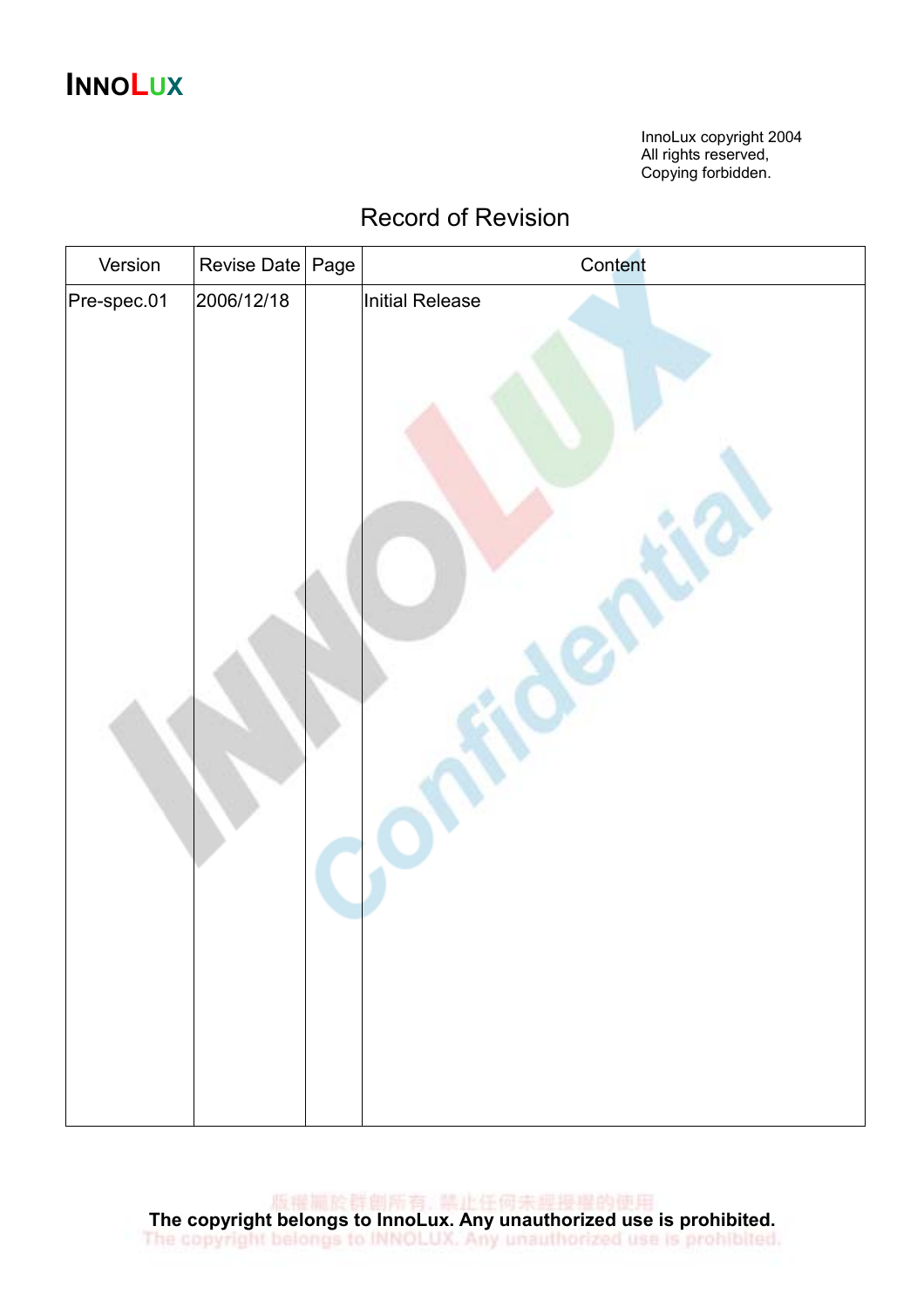## INNOLUX

InnoLux copyright 2004 All rights reserved, Copying forbidden.

### Record of Revision

| Version     | Revise Date Page | Content         |
|-------------|------------------|-----------------|
| Pre-spec.01 | 2006/12/18       | Initial Release |
|             |                  |                 |

版權圖於群創所有, 禁止任何未經授權的使用 The copyright belongs to InnoLux. Any unauthorized use is prohibited.<br>The copyright belongs to InnoLux. Any unauthorized use is prohibited.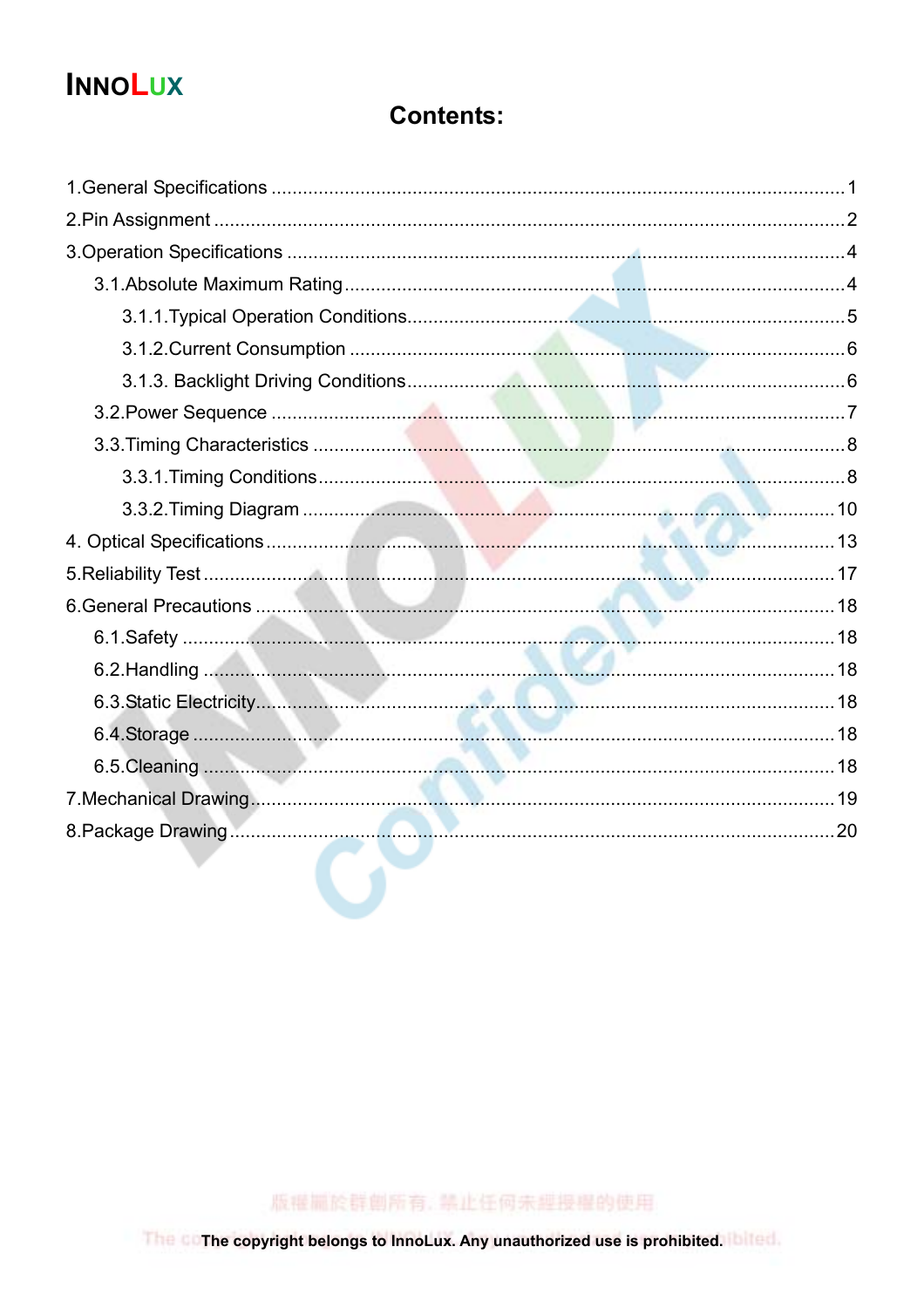## **INNOLUX**

### **Contents:**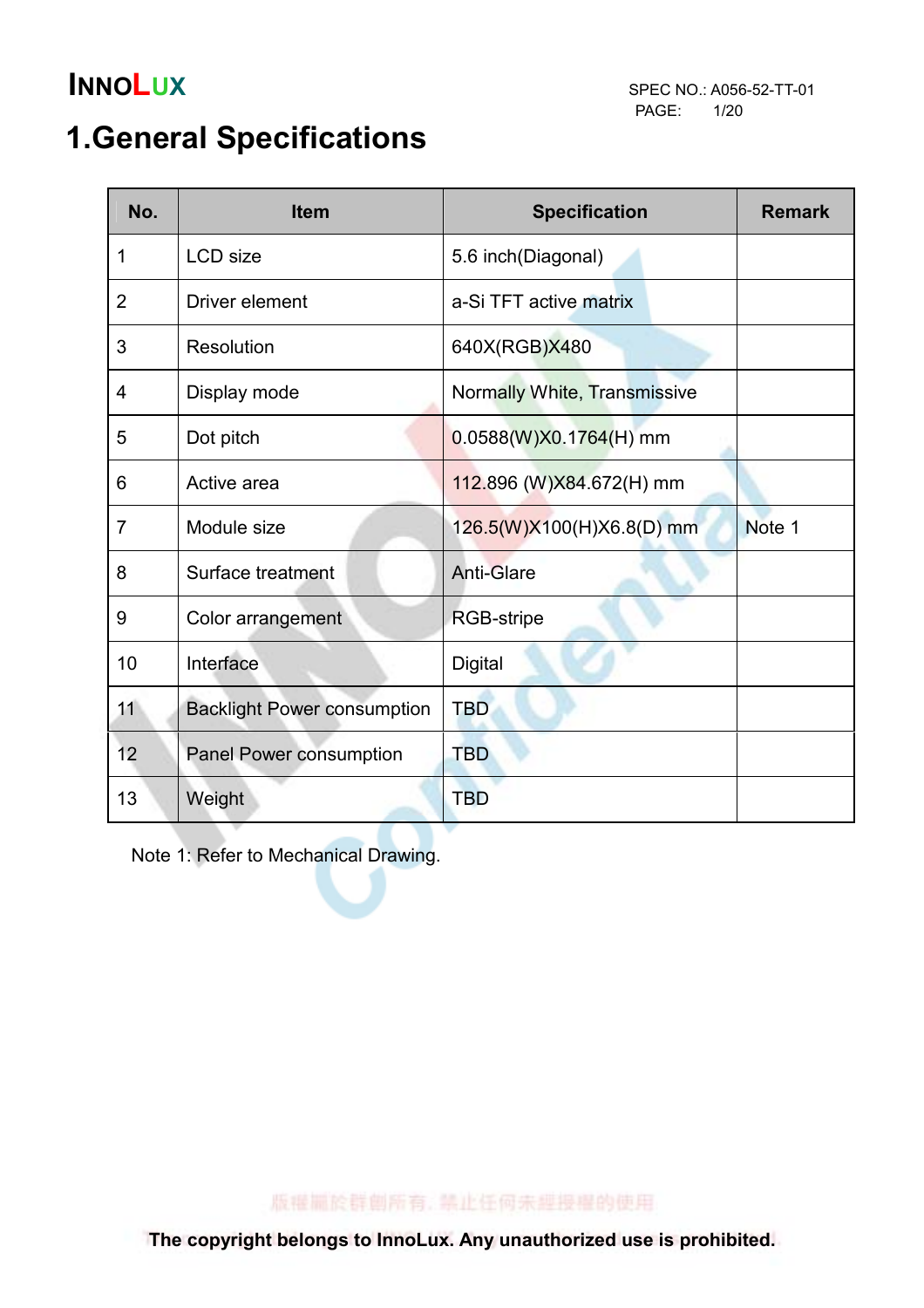## 1.General Specifications

| No.            | <b>Item</b>                        | <b>Specification</b>         | <b>Remark</b> |
|----------------|------------------------------------|------------------------------|---------------|
| 1              | <b>LCD</b> size                    | 5.6 inch(Diagonal)           |               |
| $\overline{2}$ | Driver element                     | a-Si TFT active matrix       |               |
| 3              | Resolution                         | 640X(RGB)X480                |               |
| 4              | Display mode                       | Normally White, Transmissive |               |
| 5              | Dot pitch                          | $0.0588(W)X0.1764(H)$ mm     |               |
| 6              | Active area                        | 112.896 (W)X84.672(H) mm     |               |
| $\overline{7}$ | Module size                        | 126.5(W)X100(H)X6.8(D) mm    | Note 1        |
| 8              | Surface treatment                  | <b>Anti-Glare</b>            |               |
| 9              | Color arrangement                  | RGB-stripe                   |               |
| 10             | Interface                          | <b>Digital</b>               |               |
| 11             | <b>Backlight Power consumption</b> | <b>TBD</b>                   |               |
| 12             | Panel Power consumption            | <b>TBD</b>                   |               |
| 13             | Weight                             | <b>TBD</b>                   |               |

Note 1: Refer to Mechanical Drawing.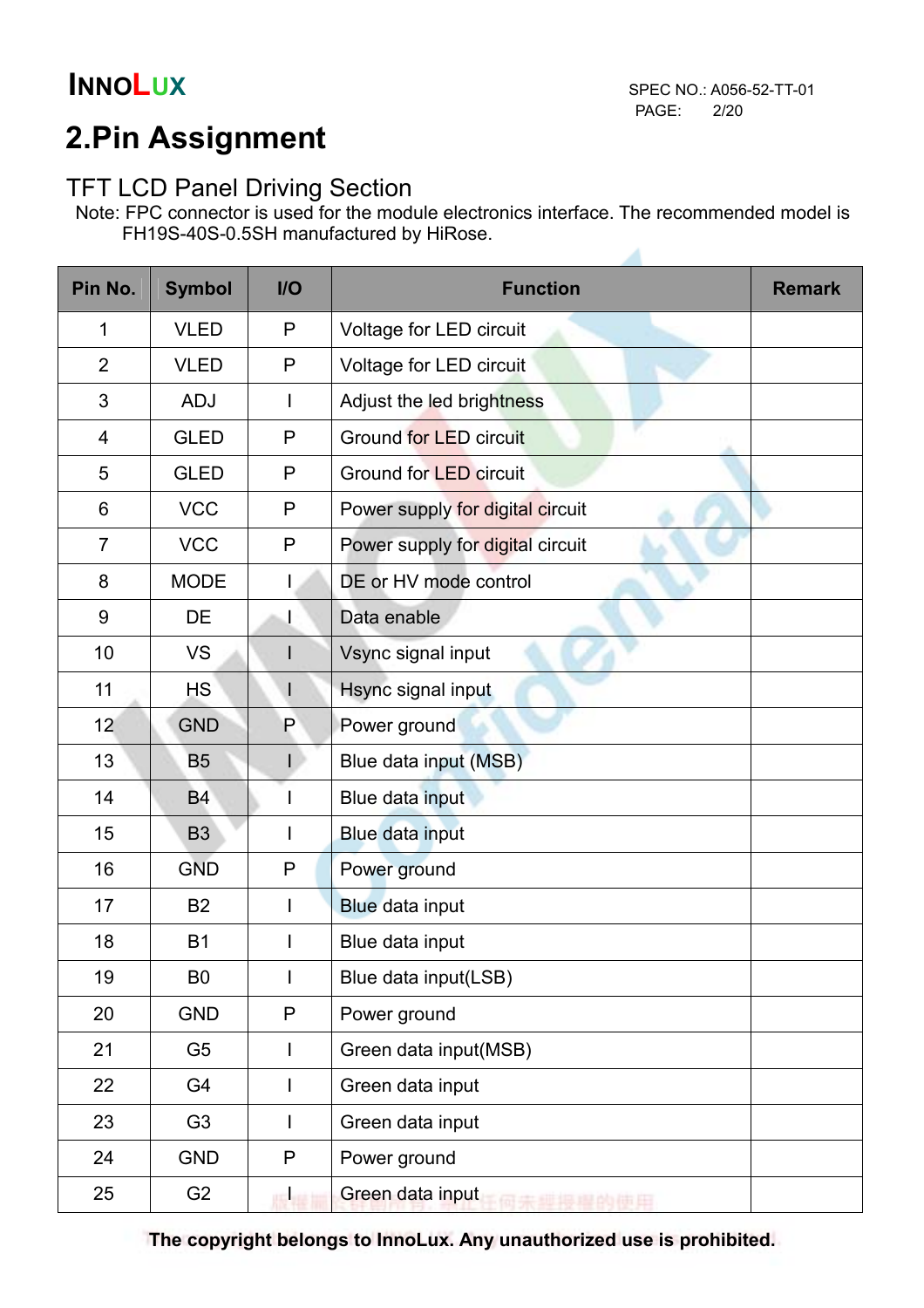## 2.Pin Assignment

### TFT LCD Panel Driving Section

Note: FPC connector is used for the module electronics interface. The recommended model is FH19S-40S-0.5SH manufactured by HiRose.

| Pin No.        | <b>Symbol</b>  | $II$ | <b>Function</b>                  | <b>Remark</b> |
|----------------|----------------|------|----------------------------------|---------------|
| $\mathbf 1$    | <b>VLED</b>    | P    | Voltage for LED circuit          |               |
| $\overline{2}$ | <b>VLED</b>    | P    | Voltage for LED circuit          |               |
| 3              | <b>ADJ</b>     |      | Adjust the led brightness        |               |
| 4              | <b>GLED</b>    | P    | <b>Ground for LED circuit</b>    |               |
| 5              | <b>GLED</b>    | P    | <b>Ground for LED circuit</b>    |               |
| 6              | <b>VCC</b>     | P    | Power supply for digital circuit |               |
| $\overline{7}$ | <b>VCC</b>     | P    | Power supply for digital circuit |               |
| 8              | <b>MODE</b>    |      | DE or HV mode control            |               |
| 9              | DE             | L    | Data enable                      |               |
| 10             | <b>VS</b>      |      | Vsync signal input               |               |
| 11             | <b>HS</b>      |      | Hsync signal input               |               |
| 12             | <b>GND</b>     | P    | Power ground                     |               |
| 13             | <b>B5</b>      | L    | Blue data input (MSB)            |               |
| 14             | <b>B4</b>      |      | Blue data input                  |               |
| 15             | <b>B3</b>      |      | <b>Blue data input</b>           |               |
| 16             | <b>GND</b>     | P    | Power ground                     |               |
| 17             | <b>B2</b>      |      | Blue data input                  |               |
| 18             | <b>B1</b>      |      | Blue data input                  |               |
| 19             | B <sub>0</sub> |      | Blue data input(LSB)             |               |
| 20             | <b>GND</b>     | P    | Power ground                     |               |
| 21             | G <sub>5</sub> |      | Green data input(MSB)            |               |
| 22             | G4             | I    | Green data input                 |               |
| 23             | G <sub>3</sub> |      | Green data input                 |               |
| 24             | <b>GND</b>     | P    | Power ground                     |               |
| 25             | G <sub>2</sub> | 此    | Green data input<br>脚堤爆的横田       |               |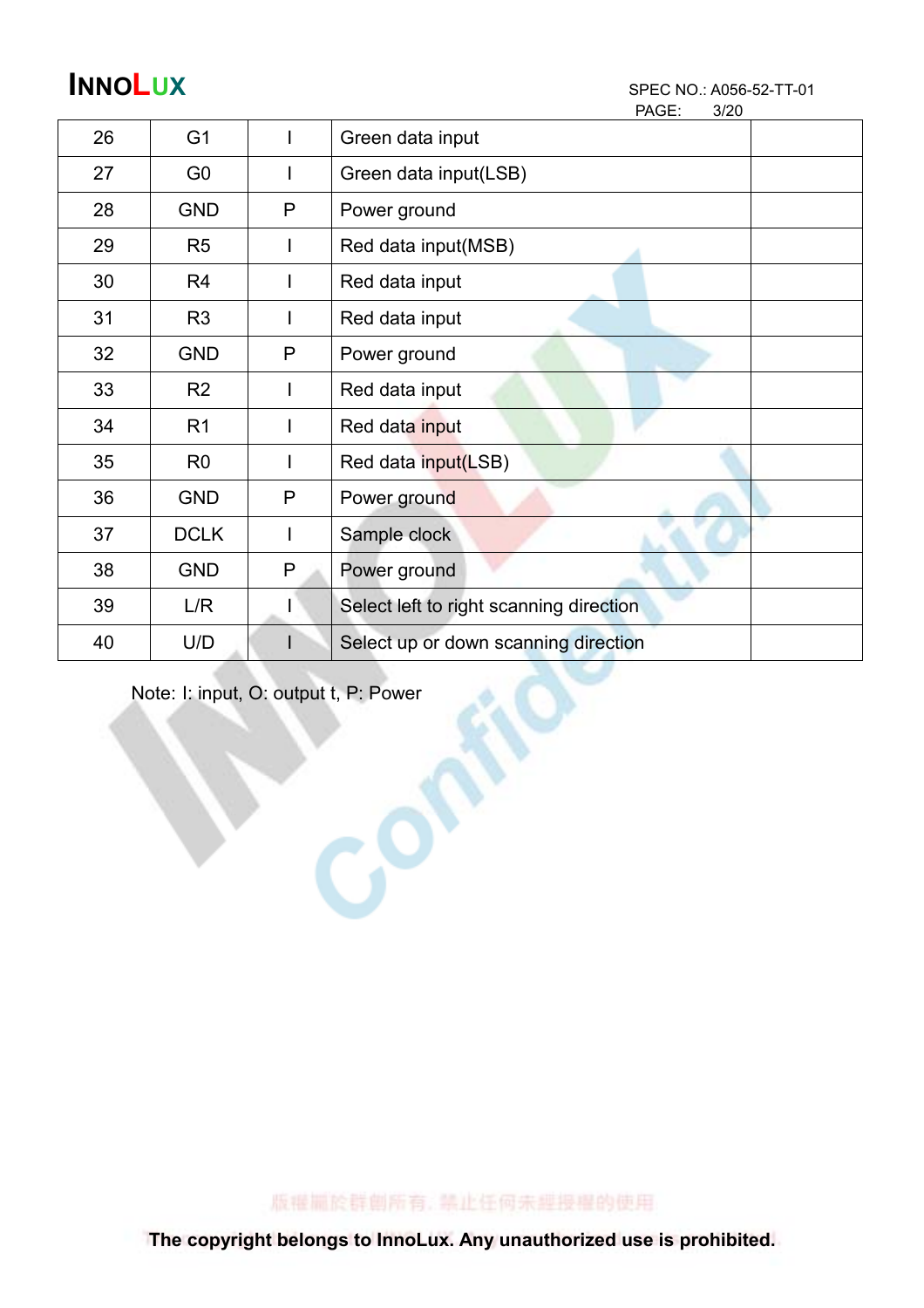# **INNOLUX**<br>
SPEC NO.: A056-52-TT-01<br>
PAGE: 3/20

PAGE:

| 26 | G <sub>1</sub> |   | Green data input                        |
|----|----------------|---|-----------------------------------------|
| 27 | G <sub>0</sub> |   | Green data input(LSB)                   |
| 28 | <b>GND</b>     | P | Power ground                            |
| 29 | R <sub>5</sub> |   | Red data input(MSB)                     |
| 30 | R <sub>4</sub> |   | Red data input                          |
| 31 | R <sub>3</sub> |   | Red data input                          |
| 32 | <b>GND</b>     | P | Power ground                            |
| 33 | R <sub>2</sub> |   | Red data input                          |
| 34 | R <sub>1</sub> |   | Red data input                          |
| 35 | R <sub>0</sub> |   | Red data input(LSB)                     |
| 36 | <b>GND</b>     | P | Power ground                            |
| 37 | <b>DCLK</b>    |   | Sample clock                            |
| 38 | <b>GND</b>     | P | Power ground                            |
| 39 | L/R            |   | Select left to right scanning direction |
| 40 | U/D            |   | Select up or down scanning direction    |

Note: I: input, O: output t, P: Power

版權圖於群劇所有, 禁止任何未經授權的使用

Con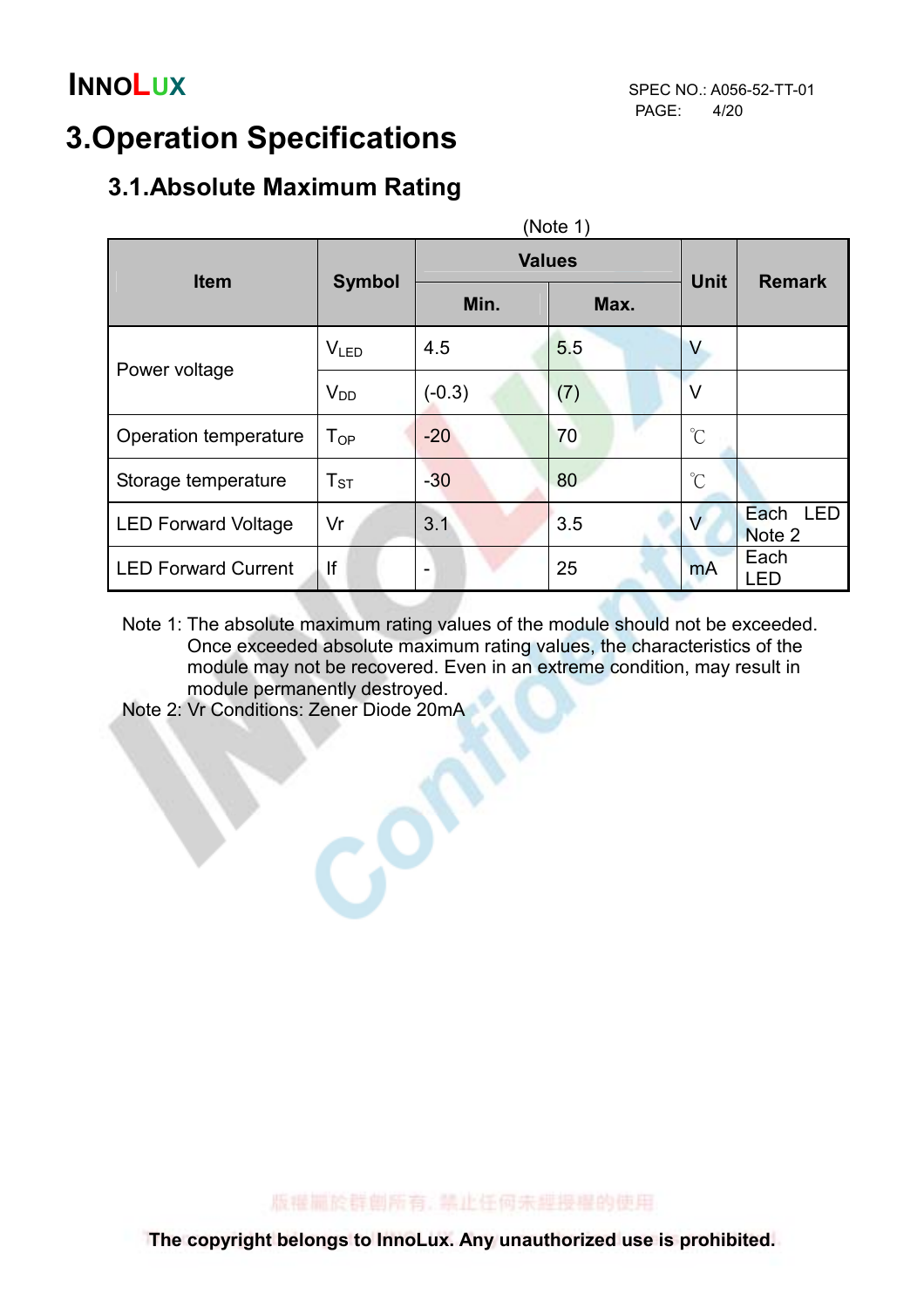## 3.Operation Specifications

### 3.1.Absolute Maximum Rating

| (Note 1)                   |                  |                          |             |                      |                              |  |  |
|----------------------------|------------------|--------------------------|-------------|----------------------|------------------------------|--|--|
| <b>Item</b>                |                  | <b>Values</b>            | <b>Unit</b> |                      |                              |  |  |
|                            | <b>Symbol</b>    | Min.                     | Max.        |                      | <b>Remark</b>                |  |  |
|                            | V <sub>LED</sub> | 4.5                      | 5.5         | $\vee$               |                              |  |  |
| Power voltage              | $V_{DD}$         | $(-0.3)$                 | (7)         | $\vee$               |                              |  |  |
| Operation temperature      | $T_{OP}$         | $-20$                    | 70          | $^{\circ}C$          |                              |  |  |
| Storage temperature        | $T_{ST}$         | $-30$                    | 80          | $\mathrm{C}^{\circ}$ |                              |  |  |
| <b>LED Forward Voltage</b> | Vr               | 3.1                      | 3.5         | $\vee$               | Each<br><b>LED</b><br>Note 2 |  |  |
| <b>LED Forward Current</b> | If               | $\overline{\phantom{a}}$ | 25          | <b>mA</b>            | Each<br><b>LED</b>           |  |  |

 Note 1: The absolute maximum rating values of the module should not be exceeded. Once exceeded absolute maximum rating values, the characteristics of the module may not be recovered. Even in an extreme condition, may result in module permanently destroyed.

Note 2: Vr Conditions: Zener Diode 20mA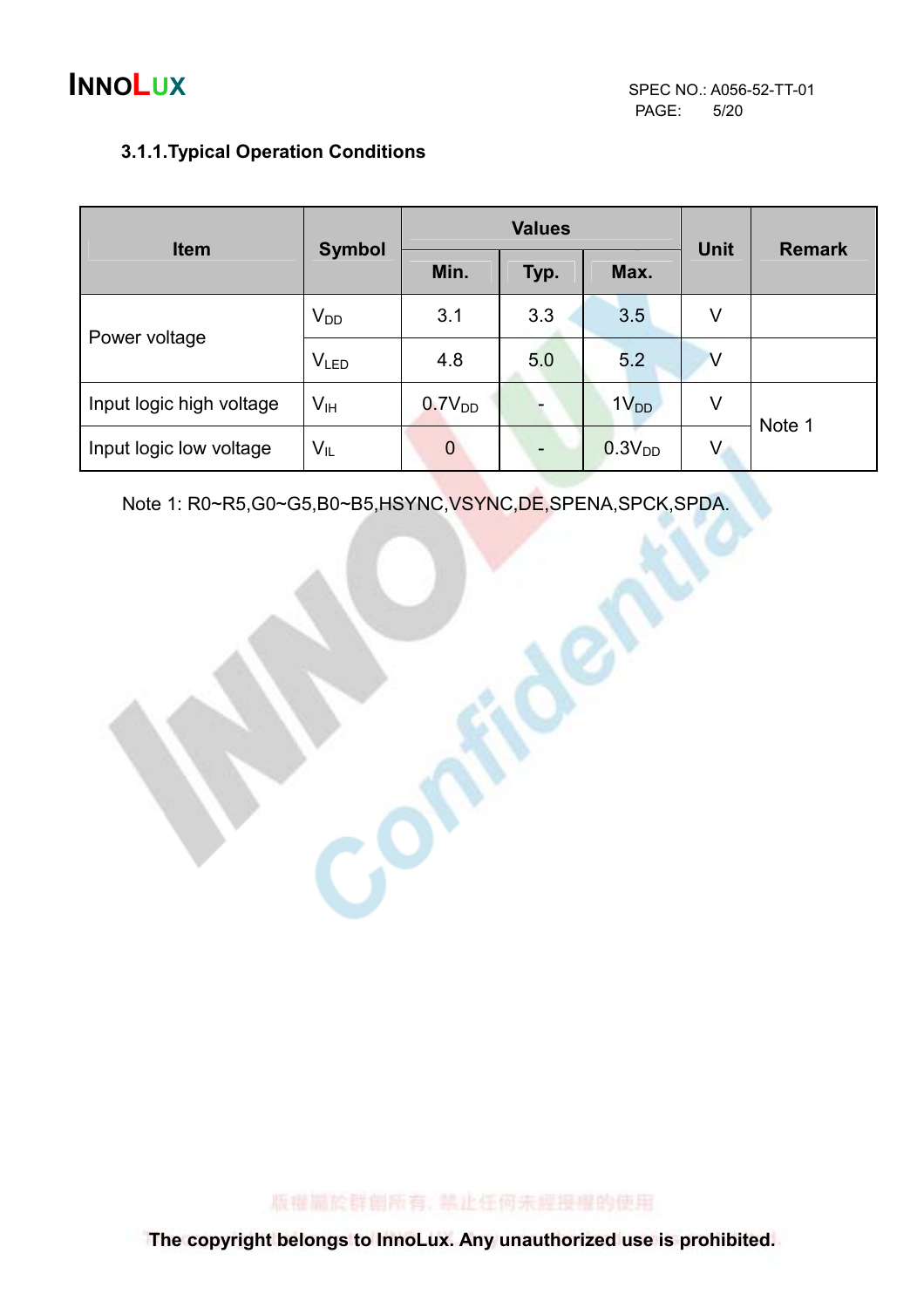#### 3.1.1.Typical Operation Conditions

| <b>Item</b>              | <b>Symbol</b>   |                    | <b>Values</b> | <b>Unit</b>        | <b>Remark</b> |        |
|--------------------------|-----------------|--------------------|---------------|--------------------|---------------|--------|
|                          |                 | Min.               | Typ.          | Max.               |               |        |
|                          | $V_{DD}$        | 3.1                | 3.3           | 3.5                | V             |        |
| Power voltage            | <b>VLED</b>     | 4.8                | 5.0           | 5.2                | V             |        |
| Input logic high voltage | V <sub>IH</sub> | 0.7V <sub>DD</sub> |               | $1V_{DD}$          | V             | Note 1 |
| Input logic low voltage  | $V_{IL}$        | $\mathbf 0$        |               | 0.3V <sub>DD</sub> | V             |        |

Note 1: R0~R5,G0~G5,B0~B5,HSYNC,VSYNC,DE,SPENA,SPCK,SPDA.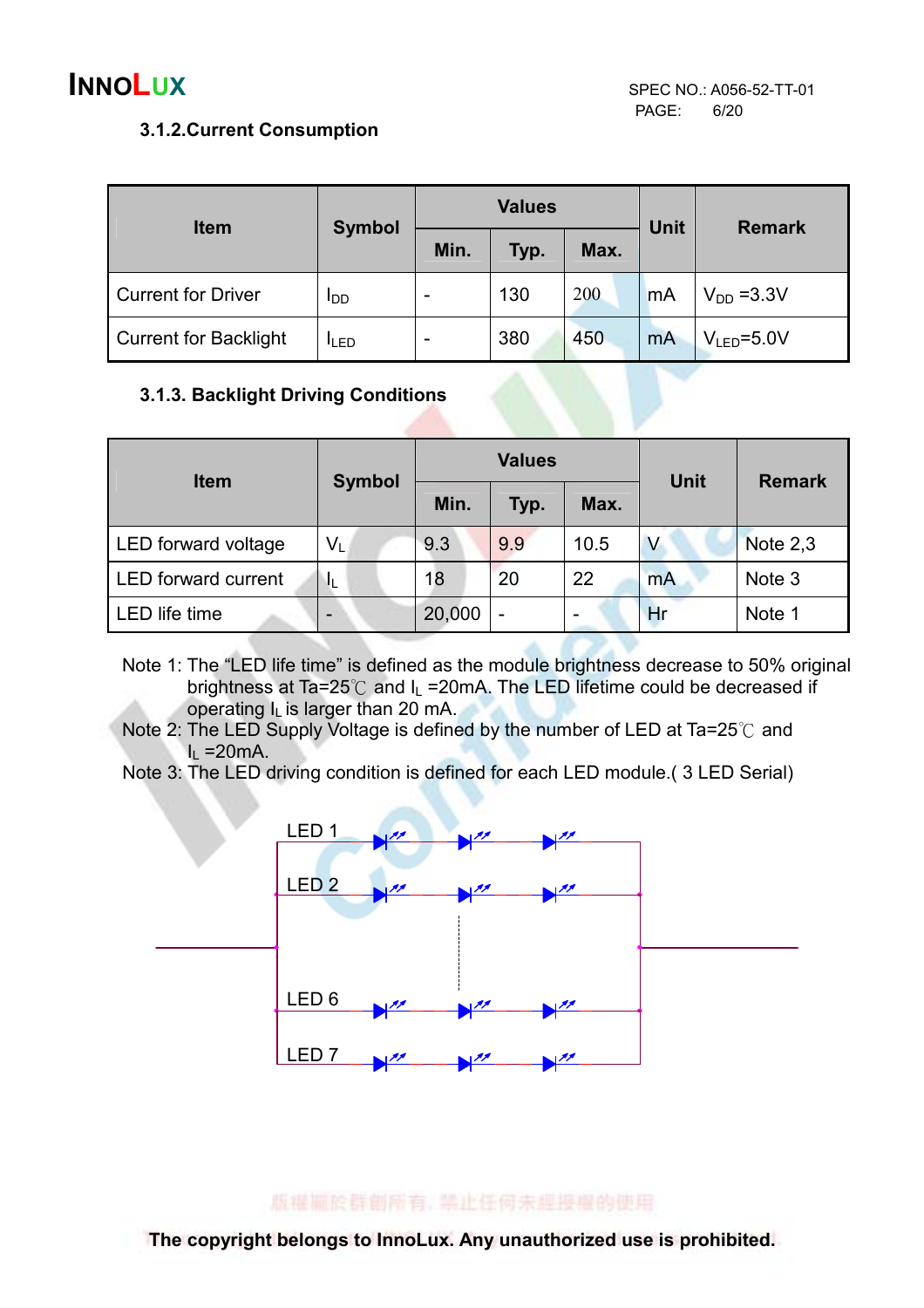#### 3.1.2.Current Consumption

|                              |                 | <b>Values</b>            |      |      | <b>Unit</b> | <b>Remark</b>          |
|------------------------------|-----------------|--------------------------|------|------|-------------|------------------------|
| <b>Item</b>                  | <b>Symbol</b>   | Min.                     | Typ. | Max. |             |                        |
| <b>Current for Driver</b>    | I <sub>DD</sub> | $\overline{\phantom{0}}$ | 130  | 200  | <b>mA</b>   | $V_{DD} = 3.3V$        |
| <b>Current for Backlight</b> | <b>I</b> LED    | $\overline{\phantom{0}}$ | 380  | 450  | mA          | $V_{\text{LED}}$ =5.0V |

#### 3.1.3. Backlight Driving Conditions

| <b>Item</b>                |                          |        | <b>Values</b> |      | <b>Unit</b> | <b>Remark</b> |
|----------------------------|--------------------------|--------|---------------|------|-------------|---------------|
|                            | <b>Symbol</b>            | Min.   | Typ.          | Max. |             |               |
| LED forward voltage        | $V_L$                    | 9.3    | 9.9           | 10.5 | V           | Note $2,3$    |
| <b>LED</b> forward current | ш                        | 18     | 20            | 22   | mA          | Note 3        |
| <b>LED</b> life time       | $\overline{\phantom{0}}$ | 20,000 |               |      | Hr          | Note 1        |

- Note 1: The "LED life time" is defined as the module brightness decrease to 50% original brightness at Ta=25 $^{\circ}$ C and I<sub>L</sub> =20mA. The LED lifetime could be decreased if operating  $I_L$  is larger than 20 mA.
- Note 2: The LED Supply Voltage is defined by the number of LED at Ta=25 $\degree$ C and  $I<sub>L</sub>$  =20mA.
- Note 3: The LED driving condition is defined for each LED module.( 3 LED Serial)



版權圖於群劇所有, 禁止任何未經授權的使用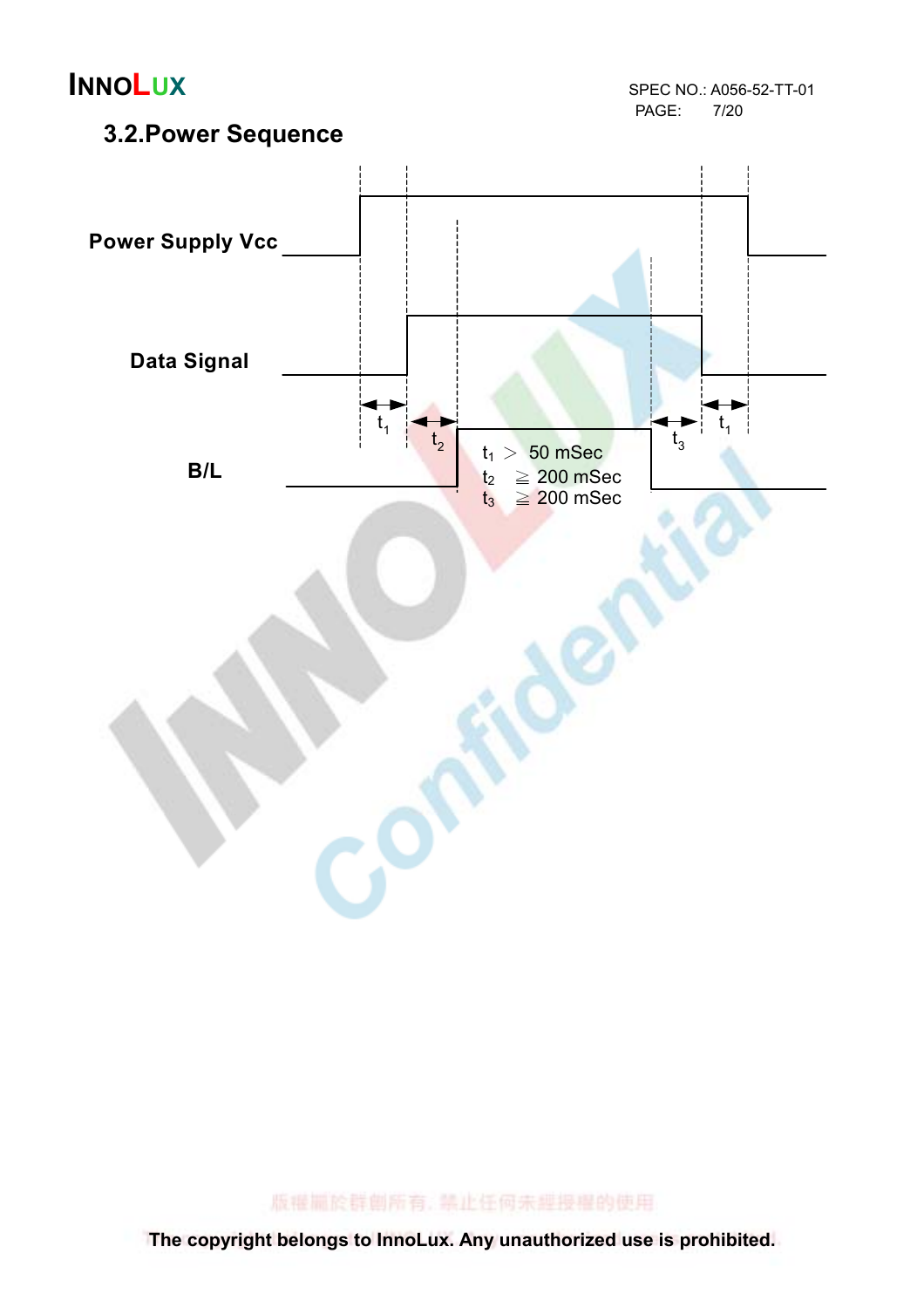**INNOLUX**<br>
SPEC NO.: A056-52-TT-01<br>
PAGE: 7/20 PAGE:

### 3.2.Power Sequence

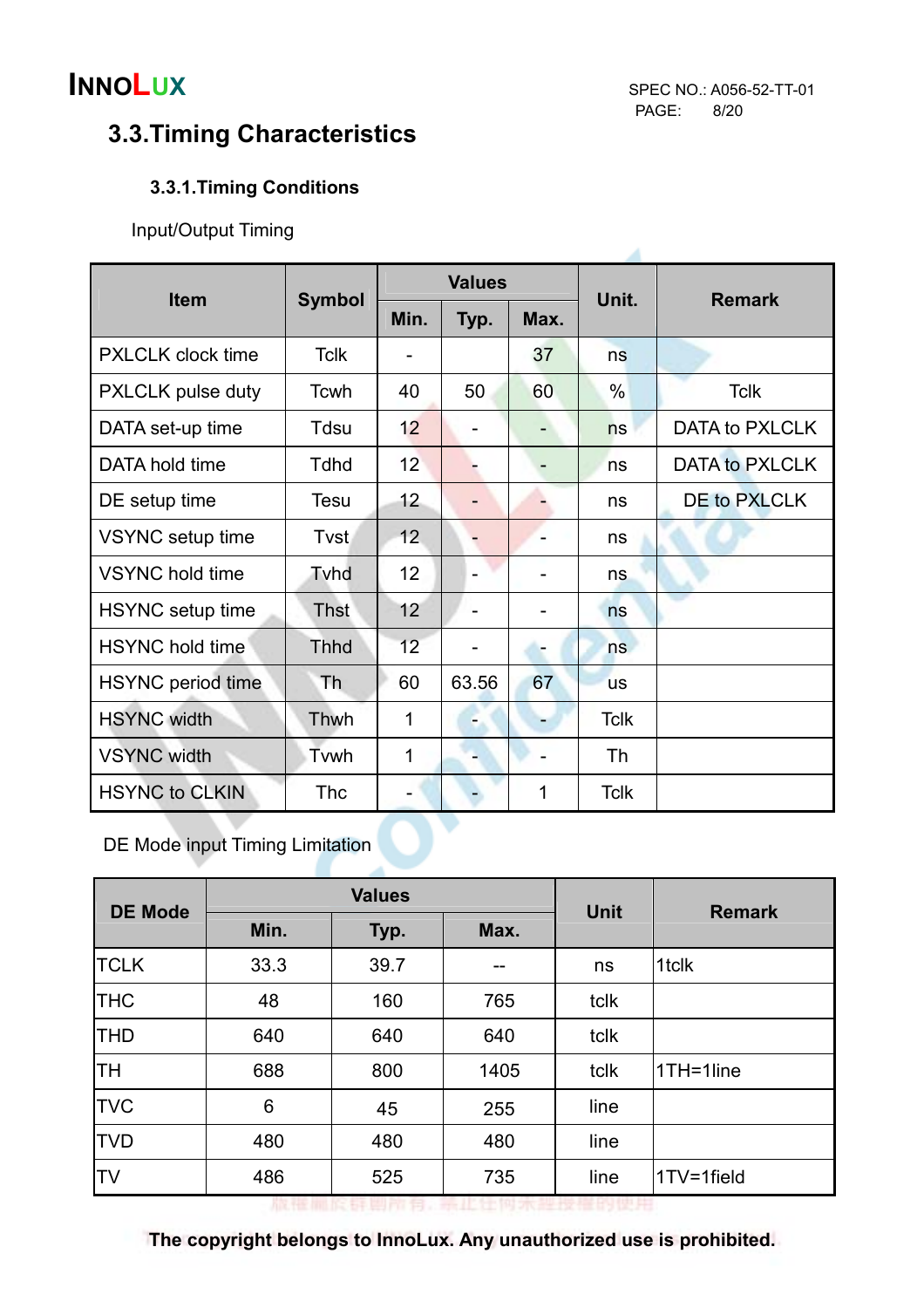A

### 3.3.Timing Characteristics

#### 3.3.1.Timing Conditions

Input/Output Timing

| <b>Item</b>              |               | <b>Values</b>   |       |      | Unit.       | <b>Remark</b>         |  |
|--------------------------|---------------|-----------------|-------|------|-------------|-----------------------|--|
|                          | <b>Symbol</b> | Min.            | Typ.  | Max. |             |                       |  |
| <b>PXLCLK</b> clock time | <b>Tclk</b>   |                 |       | 37   | ns          |                       |  |
| <b>PXLCLK</b> pulse duty | Tcwh          | 40              | 50    | 60   | $\%$        | <b>Tclk</b>           |  |
| DATA set-up time         | Tdsu          | 12              |       |      | ns          | DATA to PXLCLK        |  |
| DATA hold time           | <b>Tdhd</b>   | 12              |       |      | ns          | <b>DATA to PXLCLK</b> |  |
| DE setup time            | <b>Tesu</b>   | 12              |       |      | ns          | DE to PXLCLK          |  |
| VSYNC setup time         | Tvst          | 12              |       |      | ns          |                       |  |
| <b>VSYNC</b> hold time   | Tyhd          | 12 <sub>2</sub> |       |      | ns          |                       |  |
| <b>HSYNC</b> setup time  | <b>Thst</b>   | 12              |       |      | ns          |                       |  |
| <b>HSYNC</b> hold time   | <b>Thhd</b>   | 12              |       |      | ns          |                       |  |
| <b>HSYNC</b> period time | Th            | 60              | 63.56 | 67   | <b>us</b>   |                       |  |
| <b>HSYNC</b> width       | Thwh          | 1               |       |      | <b>Tclk</b> |                       |  |
| <b>VSYNC</b> width       | Tvwh          | 1               |       |      | Th          |                       |  |
| <b>HSYNC to CLKIN</b>    | <b>Thc</b>    |                 |       | 1    | <b>Tclk</b> |                       |  |

DE Mode input Timing Limitation

| <b>DE Mode</b> |      | <b>Values</b> | <b>Unit</b> | <b>Remark</b> |              |
|----------------|------|---------------|-------------|---------------|--------------|
|                | Min. | Typ.          | Max.        |               |              |
| <b>TCLK</b>    | 33.3 | 39.7          | --          | ns            | 1tclk        |
| <b>THC</b>     | 48   | 160           | 765         | tclk          |              |
| <b>THD</b>     | 640  | 640           | 640         | tclk          |              |
| TН             | 688  | 800           | 1405        | tclk          | $1TH=1$ line |
| <b>TVC</b>     | 6    | 45            | 255         | line          |              |
| <b>TVD</b>     | 480  | 480           | 480         | line          |              |
| TV             | 486  | 525           | 735         | line          | 1TV=1field   |

版權扁於群團吊有, 葉此钍何未經授權的使用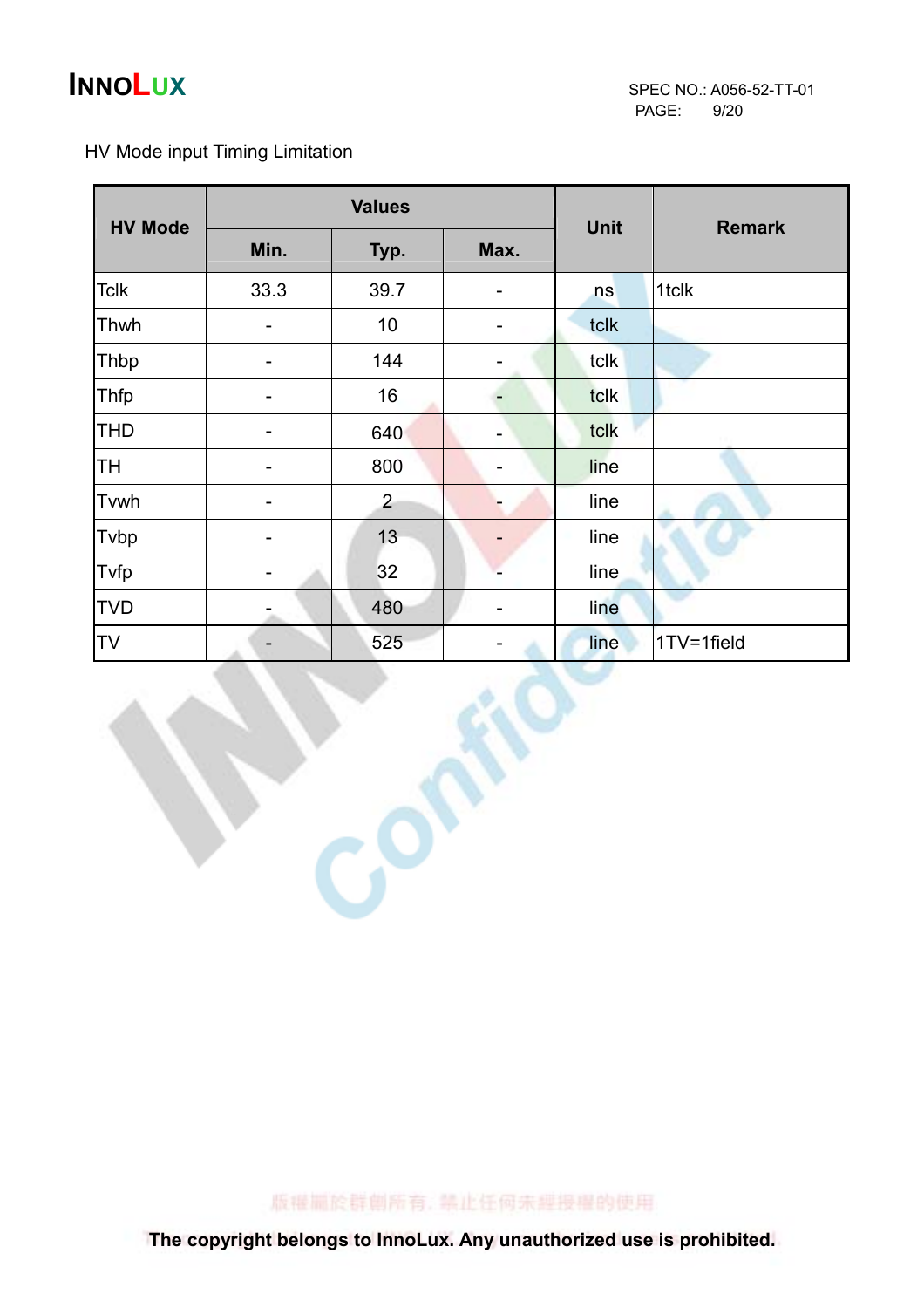#### HV Mode input Timing Limitation

| <b>HV Mode</b> |      | <b>Values</b>  |      |             |               |  |
|----------------|------|----------------|------|-------------|---------------|--|
|                | Min. | Typ.           | Max. | <b>Unit</b> | <b>Remark</b> |  |
| <b>Tclk</b>    | 33.3 | 39.7           | ۰    | ns          | 1tclk         |  |
| Thwh           |      | 10             |      | tclk        |               |  |
| Thbp           |      | 144            |      | tclk        |               |  |
| Thfp           |      | 16             |      | tclk        |               |  |
| <b>THD</b>     |      | 640            |      | tclk        |               |  |
| TН             |      | 800            | -    | line        |               |  |
| Tvwh           |      | $\overline{2}$ |      | line        |               |  |
| Tvbp           |      | 13             | -    | line        |               |  |
| Tvfp           |      | 32             |      | line        |               |  |
| <b>TVD</b>     |      | 480            | -    | line        |               |  |
| <b>TV</b>      |      | 525            |      | line        | 1TV=1field    |  |

版權圖於群創所有, 禁止任何未經授權的使用

Constant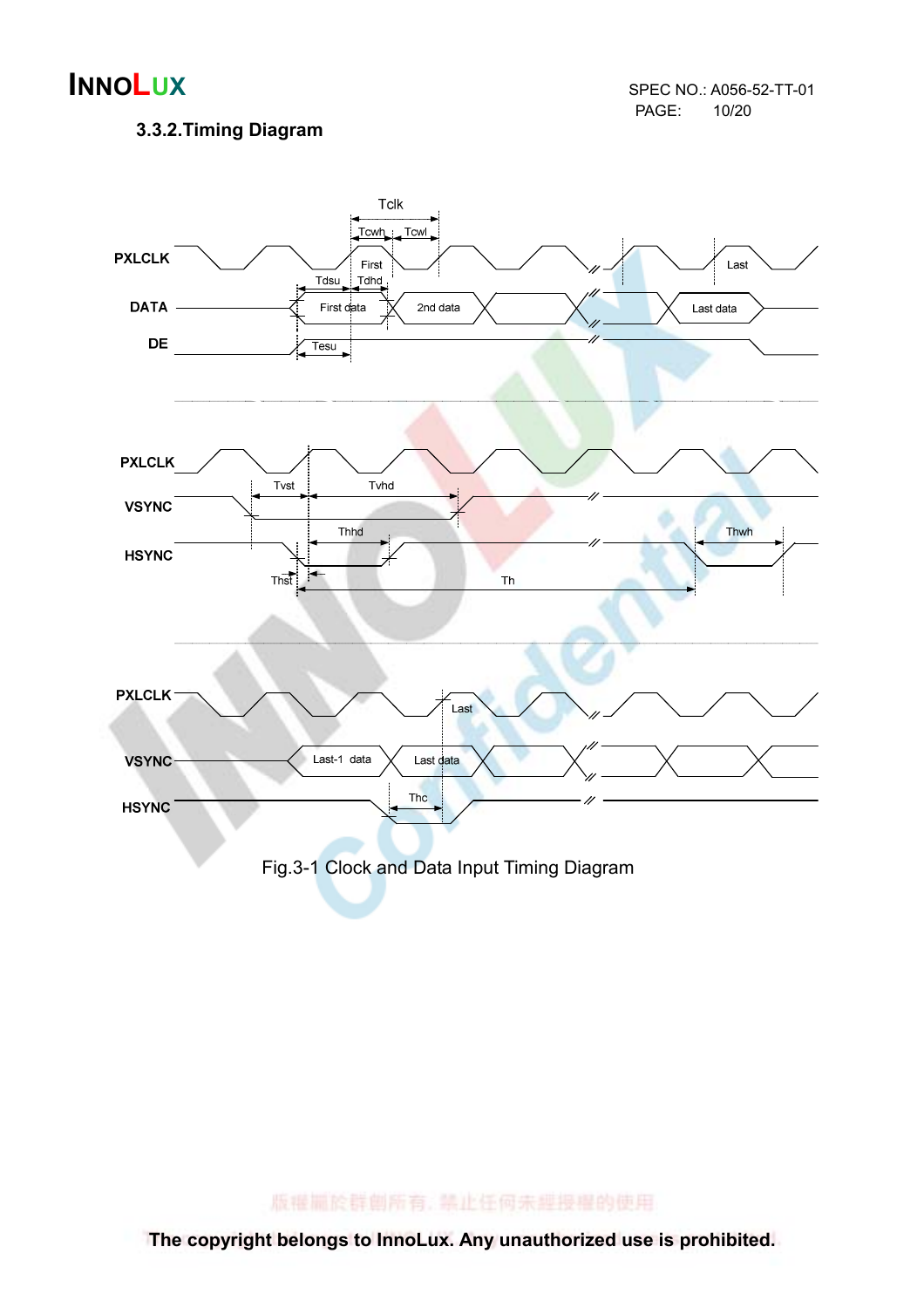#### 3.3.2.Timing Diagram



版權圖於群劇所有, 禁止任何未經授權的使用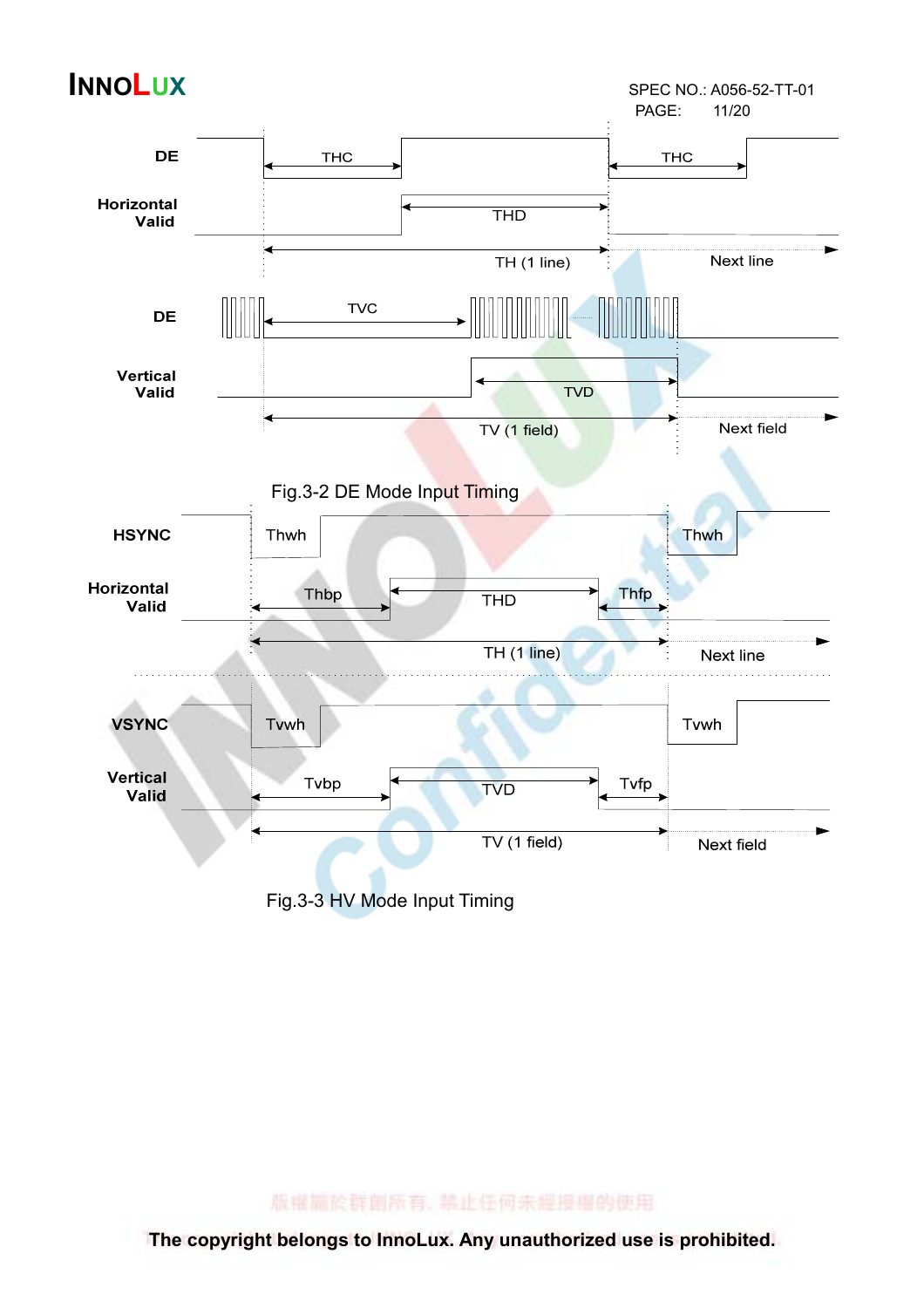

Fig.3-3 HV Mode Input Timing

版權圖於群創所有, 禁止任何未經授權的使用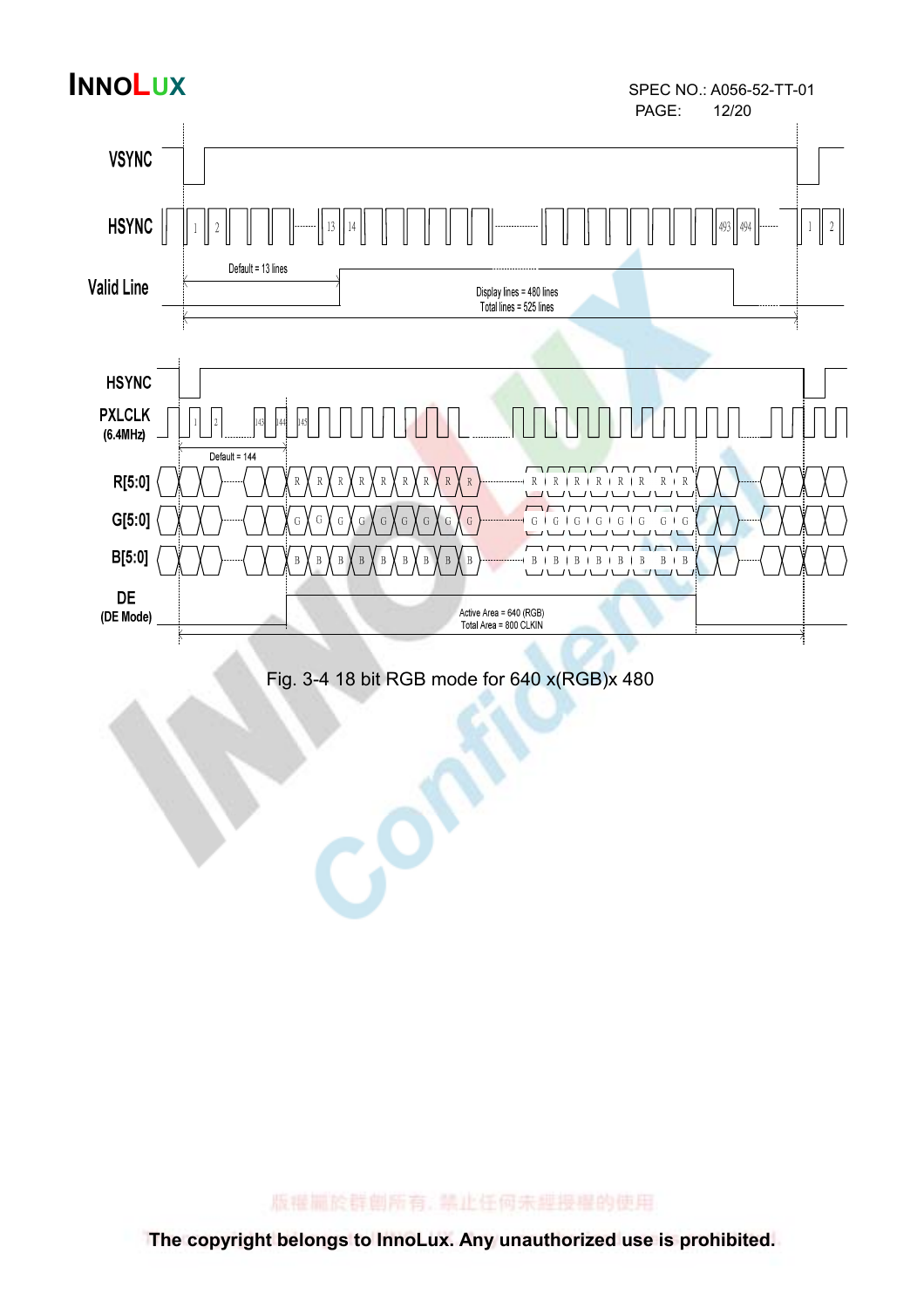

Fig. 3-4 18 bit RGB mode for 640 x(RGB)x 480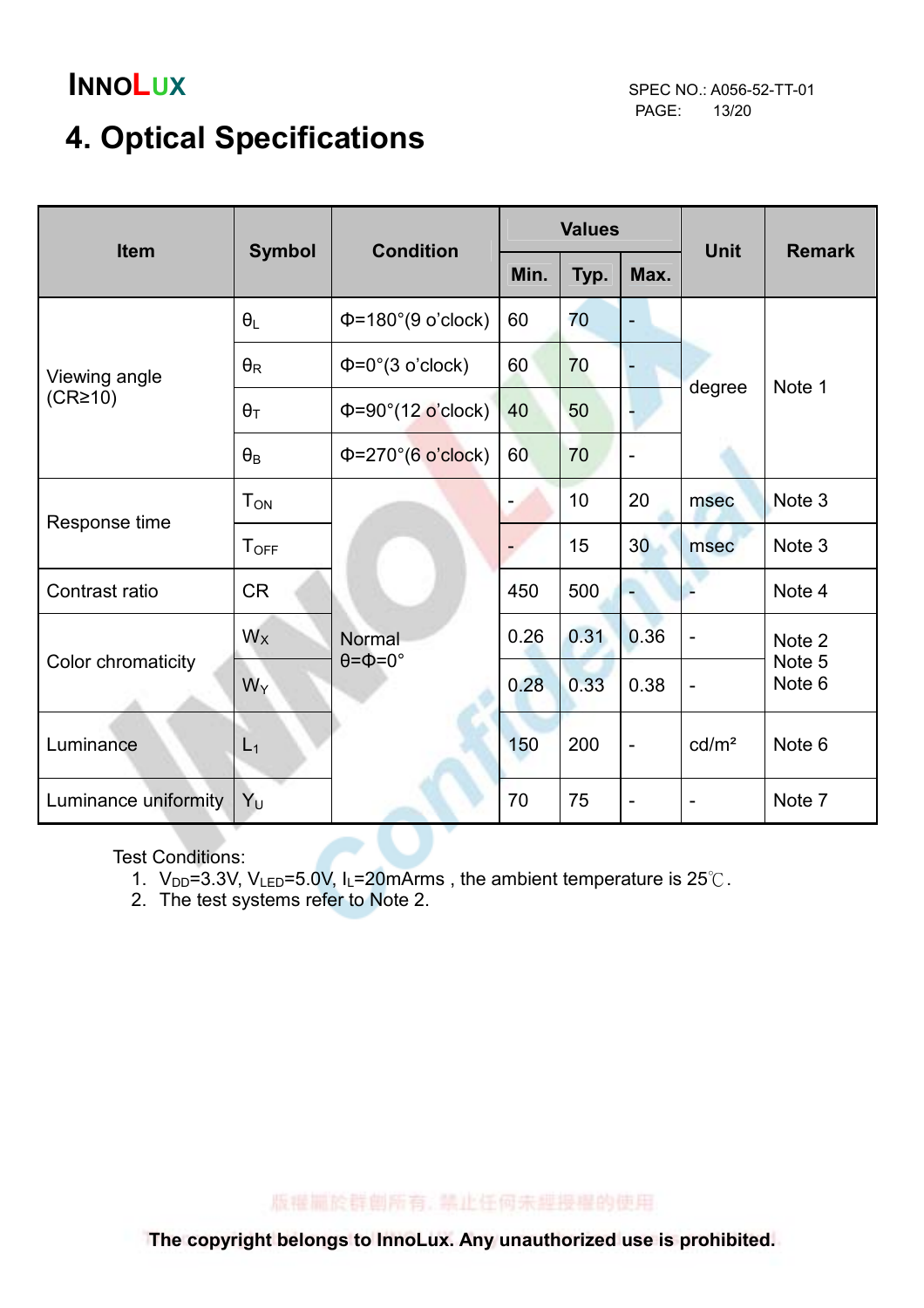PAGE: 13/20

## 4. Optical Specifications

| <b>Item</b>                    | <b>Symbol</b>         | <b>Condition</b>                       | <b>Values</b> |      |                          | <b>Unit</b>              | <b>Remark</b>    |
|--------------------------------|-----------------------|----------------------------------------|---------------|------|--------------------------|--------------------------|------------------|
|                                |                       |                                        | Min.          | Typ. | Max.                     |                          |                  |
|                                | $\theta_L$            | $\Phi$ =180°(9 o'clock)                | 60            | 70   | $\blacksquare$           |                          | Note 1           |
| Viewing angle<br>$(CR\geq 10)$ | $\theta_{\mathsf{R}}$ | $\Phi = 0^\circ (3 \text{ o'clock})$   | 60            | 70   |                          |                          |                  |
|                                | $\theta_T$            | $\Phi = 90^\circ (12 \text{ o'clock})$ | 40            | 50   |                          | degree                   |                  |
|                                | $\theta_{\mathsf{B}}$ | $\Phi = 270^{\circ}$ (6 o'clock)       | 60            | 70   | $\blacksquare$           |                          |                  |
| Response time                  | $T_{ON}$              |                                        |               | 10   | 20                       | msec                     | Note 3           |
|                                | $T_{OFF}$             |                                        |               | 15   | 30                       | msec                     | Note 3           |
| Contrast ratio                 | <b>CR</b>             |                                        | 450           | 500  |                          |                          | Note 4           |
| Color chromaticity             | $W_X$                 | <b>Normal</b>                          | 0.26          | 0.31 | 0.36                     | $\overline{\phantom{0}}$ | Note 2           |
|                                | $W_Y$                 | $\theta = \Phi = 0^{\circ}$            | 0.28          | 0.33 | 0.38                     |                          | Note 5<br>Note 6 |
| Luminance                      | $L_1$                 |                                        | 150           | 200  | $\blacksquare$           | cd/m <sup>2</sup>        | Note 6           |
| Luminance uniformity           | Yu                    |                                        | 70            | 75   | $\overline{\phantom{a}}$ |                          | Note 7           |

Test Conditions:

- 1.  $V_{DD}$ =3.3V,  $V_{LED}$ =5.0V,  $I_L$ =20mArms, the ambient temperature is 25°C.
- 2. The test systems refer to Note 2.

版權圖於群劇所有, 禁止任何未經授權的使用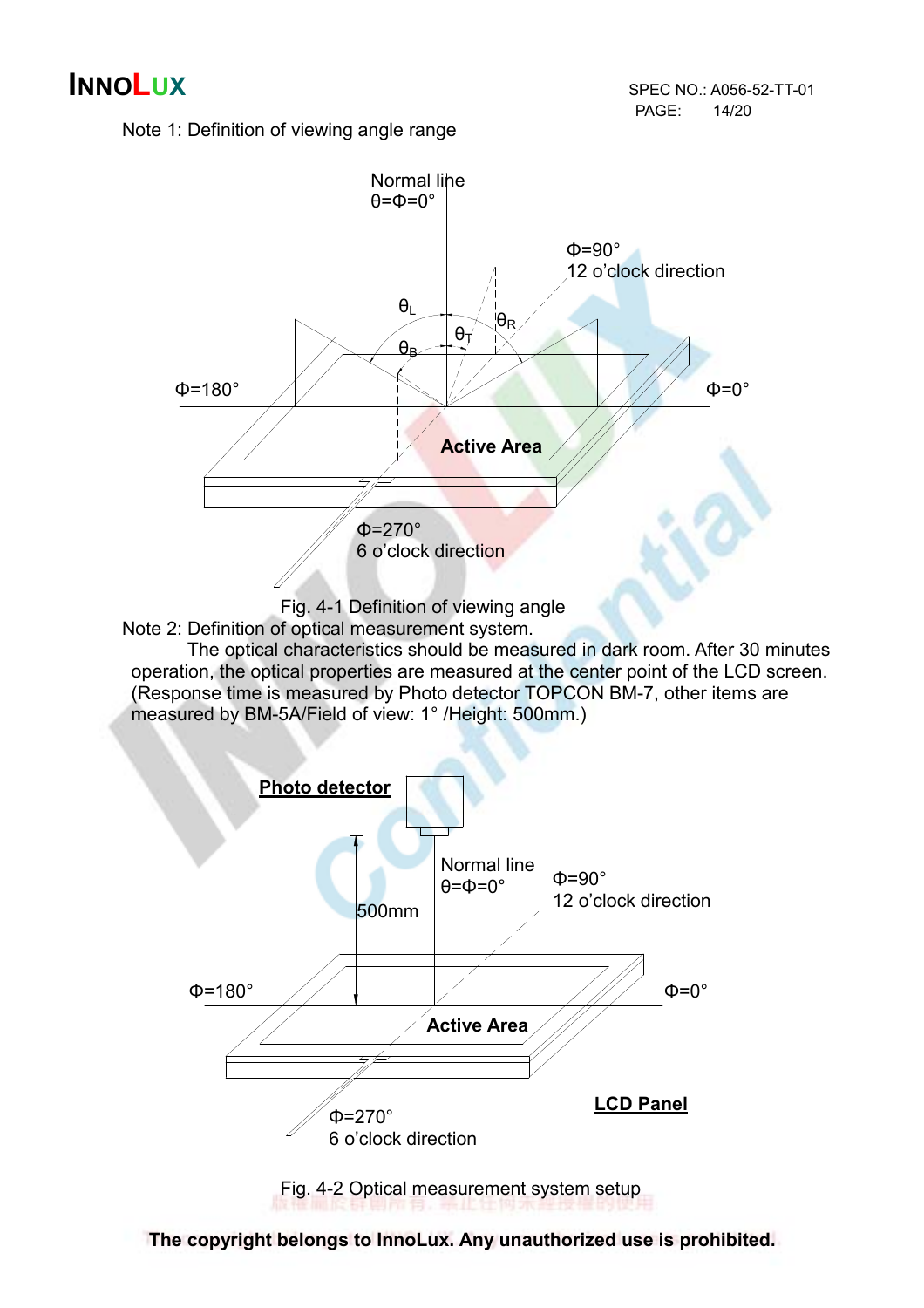Note 1: Definition of viewing angle range



Fig. 4-1 Definition of viewing angle

Note 2: Definition of optical measurement system.

 The optical characteristics should be measured in dark room. After 30 minutes operation, the optical properties are measured at the center point of the LCD screen. (Response time is measured by Photo detector TOPCON BM-7, other items are measured by BM-5A/Field of view: 1° /Height: 500mm.)



Fig. 4-2 Optical measurement system setup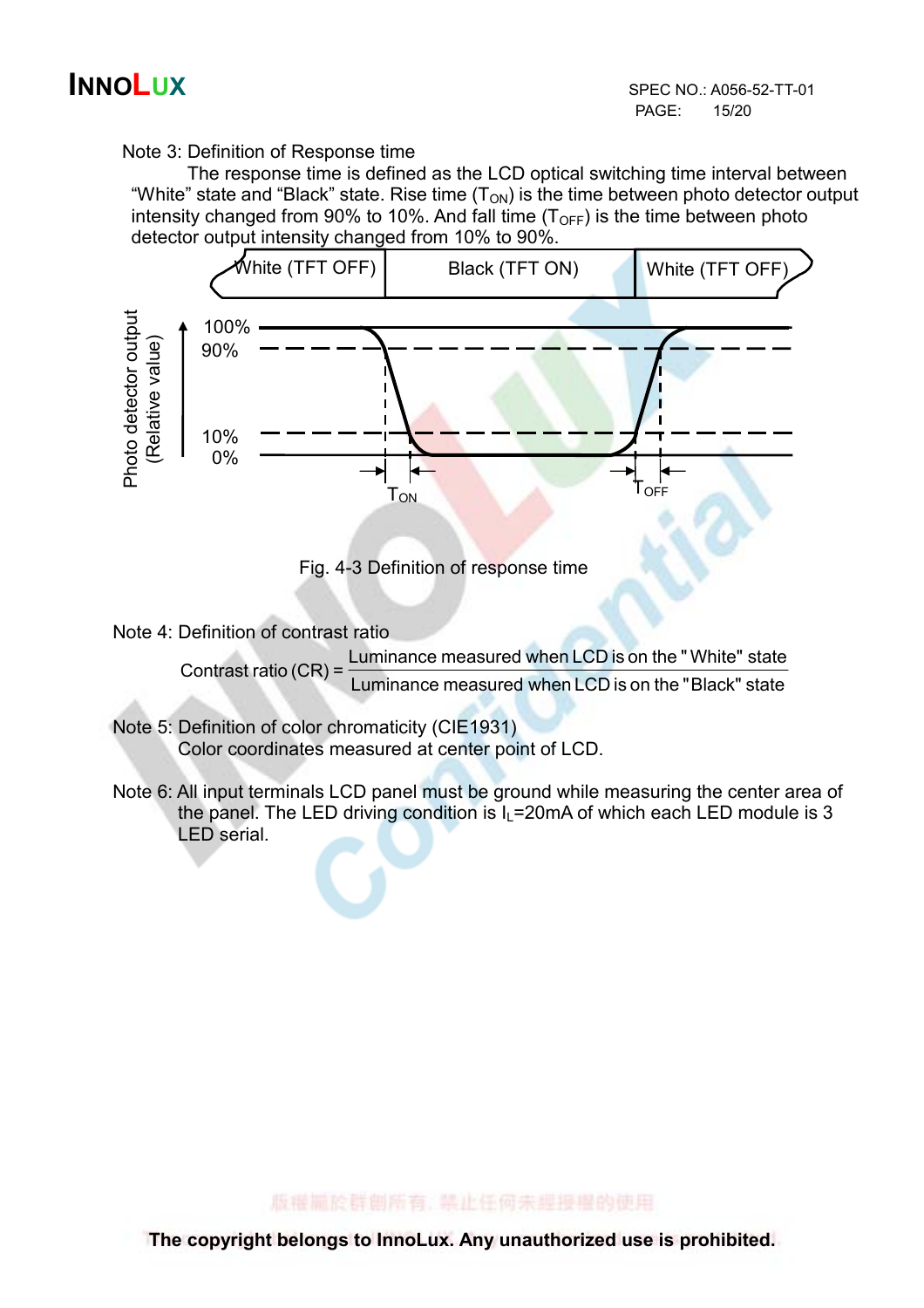Note 3: Definition of Response time

 The response time is defined as the LCD optical switching time interval between "White" state and "Black" state. Rise time  $(T_{ON})$  is the time between photo detector output intensity changed from 90% to 10%. And fall time  $(T<sub>OFF</sub>)$  is the time between photo detector output intensity changed from 10% to 90%.



Fig. 4-3 Definition of response time

Note 4: Definition of contrast ratio

 Luminance measured when LCD is on the " Black" state Luminance measured when LCD is on the " White" state Contrast ratio (CR) =

- Note 5: Definition of color chromaticity (CIE1931) Color coordinates measured at center point of LCD.
- Note 6: All input terminals LCD panel must be ground while measuring the center area of the panel. The LED driving condition is  $I_L$ =20mA of which each LED module is 3 LED serial.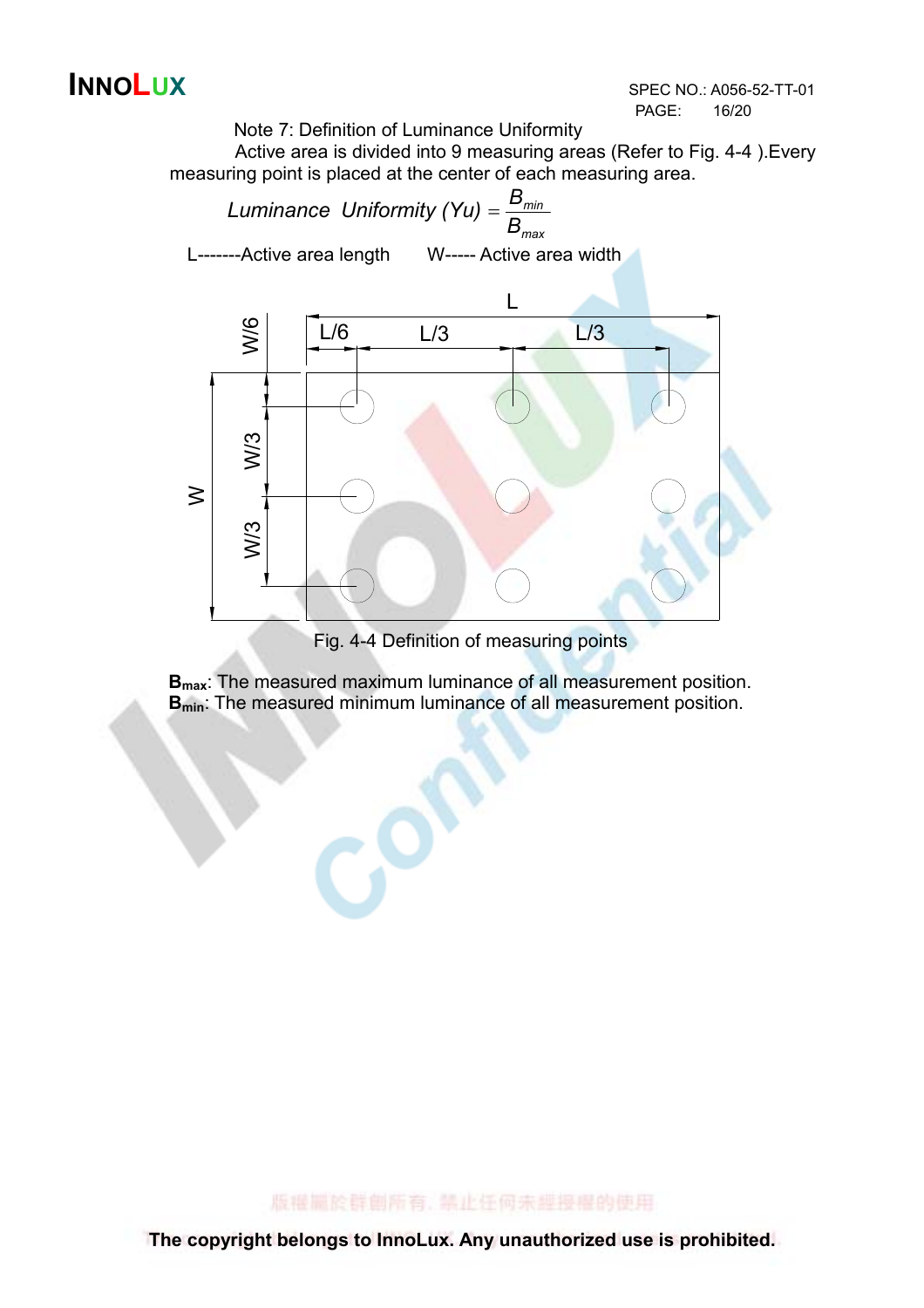

Note 7: Definition of Luminance Uniformity

Active area is divided into 9 measuring areas (Refer to Fig. 4-4 ).Every measuring point is placed at the center of each measuring area.



Fig. 4-4 Definition of measuring points

**B**<sub>max</sub>: The measured maximum luminance of all measurement position. B<sub>min</sub>: The measured minimum luminance of all measurement position.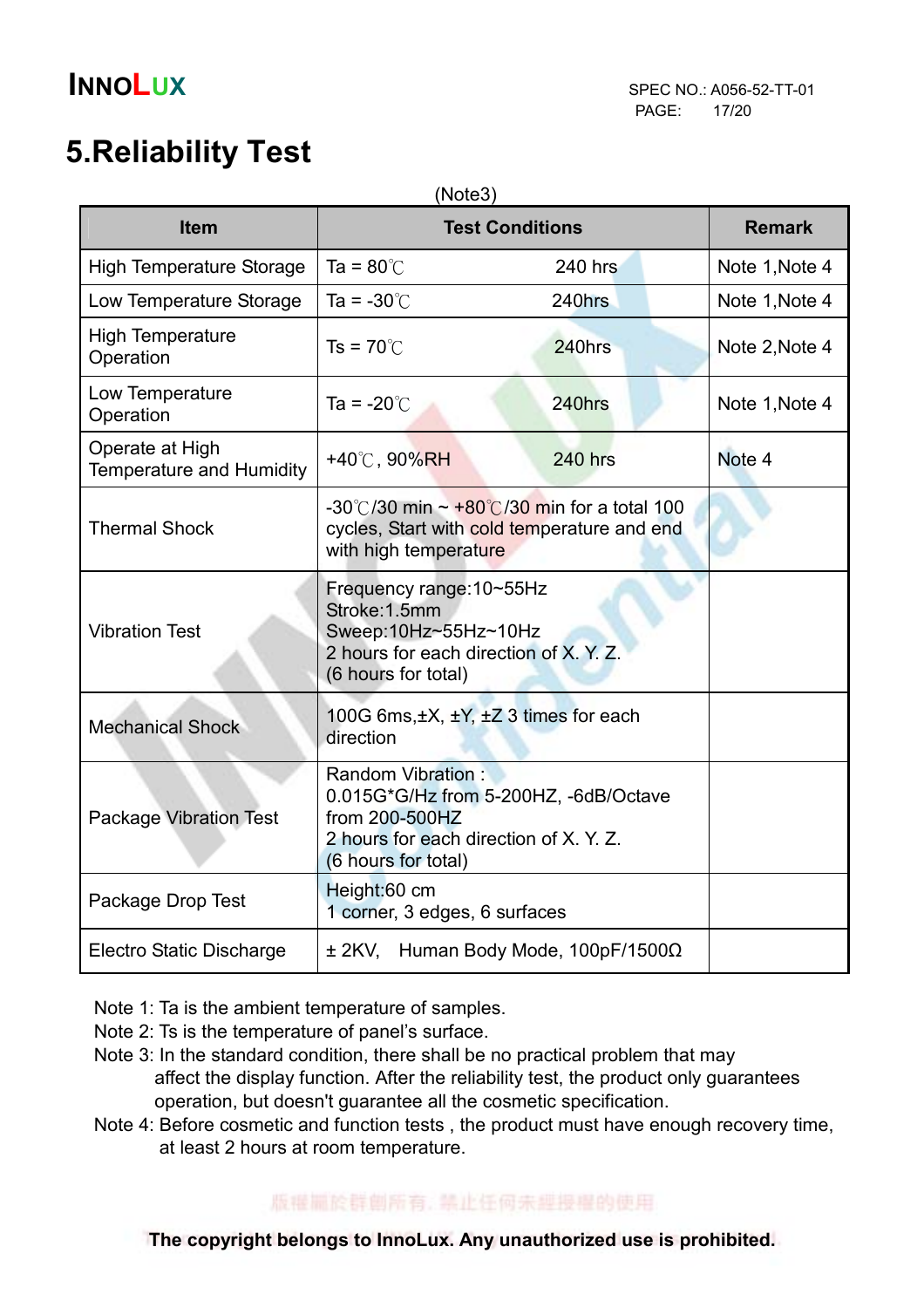## 5.Reliability Test

| (Note3)                                            |                                                                                                                                                      |                |                |  |  |  |
|----------------------------------------------------|------------------------------------------------------------------------------------------------------------------------------------------------------|----------------|----------------|--|--|--|
| <b>Item</b>                                        | <b>Test Conditions</b>                                                                                                                               | <b>Remark</b>  |                |  |  |  |
| <b>High Temperature Storage</b>                    | Ta = $80^{\circ}$ C                                                                                                                                  | 240 hrs        | Note 1, Note 4 |  |  |  |
| Low Temperature Storage                            | Ta = $-30^{\circ}$ C                                                                                                                                 | 240hrs         | Note 1, Note 4 |  |  |  |
| <b>High Temperature</b><br>Operation               | $Ts = 70^{\circ}$                                                                                                                                    | 240hrs         | Note 2, Note 4 |  |  |  |
| Low Temperature<br>Operation                       | Ta = $-20^{\circ}$ C                                                                                                                                 | 240hrs         | Note 1, Note 4 |  |  |  |
| Operate at High<br><b>Temperature and Humidity</b> | +40℃, 90%RH                                                                                                                                          | <b>240 hrs</b> | Note 4         |  |  |  |
| <b>Thermal Shock</b>                               | -30°C/30 min $\sim$ +80°C/30 min for a total 100<br>cycles, Start with cold temperature and end<br>with high temperature                             |                |                |  |  |  |
| <b>Vibration Test</b>                              | Frequency range: 10~55Hz<br>Stroke: 1.5mm<br>Sweep:10Hz~55Hz~10Hz<br>2 hours for each direction of X.Y.Z.<br>(6 hours for total)                     |                |                |  |  |  |
| <b>Mechanical Shock</b>                            | 100G 6ms, ±X, ±Y, ±Z 3 times for each<br>direction                                                                                                   |                |                |  |  |  |
| <b>Package Vibration Test</b>                      | <b>Random Vibration:</b><br>0.015G*G/Hz from 5-200HZ, -6dB/Octave<br>from 200-500HZ<br>2 hours for each direction of X. Y. Z.<br>(6 hours for total) |                |                |  |  |  |
| Package Drop Test                                  | Height:60 cm<br>1 corner, 3 edges, 6 surfaces                                                                                                        |                |                |  |  |  |
| <b>Electro Static Discharge</b>                    | $\pm$ 2KV, Human Body Mode, 100pF/1500 $\Omega$                                                                                                      |                |                |  |  |  |

Note 1: Ta is the ambient temperature of samples.

- Note 2: Ts is the temperature of panel's surface.
- Note 3: In the standard condition, there shall be no practical problem that may affect the display function. After the reliability test, the product only guarantees operation, but doesn't guarantee all the cosmetic specification.
- Note 4: Before cosmetic and function tests , the product must have enough recovery time, at least 2 hours at room temperature.

#### 版權圖於群劇所有, 禁止任何未經授權的使用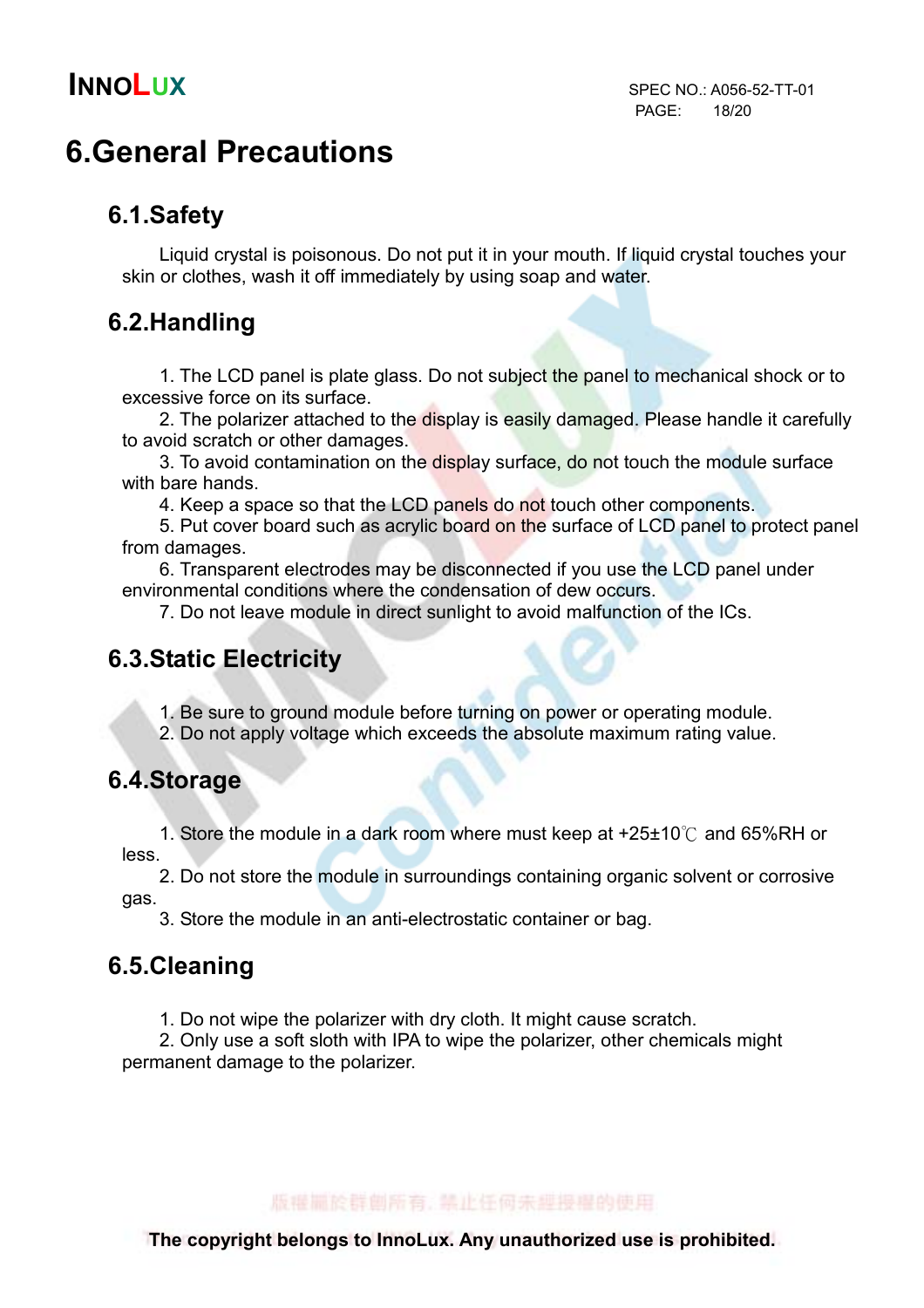## 6.General Precautions

### 6.1.Safety

Liquid crystal is poisonous. Do not put it in your mouth. If liquid crystal touches your skin or clothes, wash it off immediately by using soap and water.

### 6.2.Handling

1. The LCD panel is plate glass. Do not subject the panel to mechanical shock or to excessive force on its surface.

2. The polarizer attached to the display is easily damaged. Please handle it carefully to avoid scratch or other damages.

3. To avoid contamination on the display surface, do not touch the module surface with bare hands.

4. Keep a space so that the LCD panels do not touch other components.

5. Put cover board such as acrylic board on the surface of LCD panel to protect panel from damages.

6. Transparent electrodes may be disconnected if you use the LCD panel under environmental conditions where the condensation of dew occurs.

7. Do not leave module in direct sunlight to avoid malfunction of the ICs.

#### 6.3.Static Electricity

1. Be sure to ground module before turning on power or operating module.

2. Do not apply voltage which exceeds the absolute maximum rating value.

#### 6.4.Storage

1. Store the module in a dark room where must keep at  $+25\pm10^{\circ}$  and 65%RH or less.

 2. Do not store the module in surroundings containing organic solvent or corrosive gas.

3. Store the module in an anti-electrostatic container or bag.

### 6.5.Cleaning

1. Do not wipe the polarizer with dry cloth. It might cause scratch.

2. Only use a soft sloth with IPA to wipe the polarizer, other chemicals might permanent damage to the polarizer.

版權圖於群創版有, 禁止任何未理授權的使用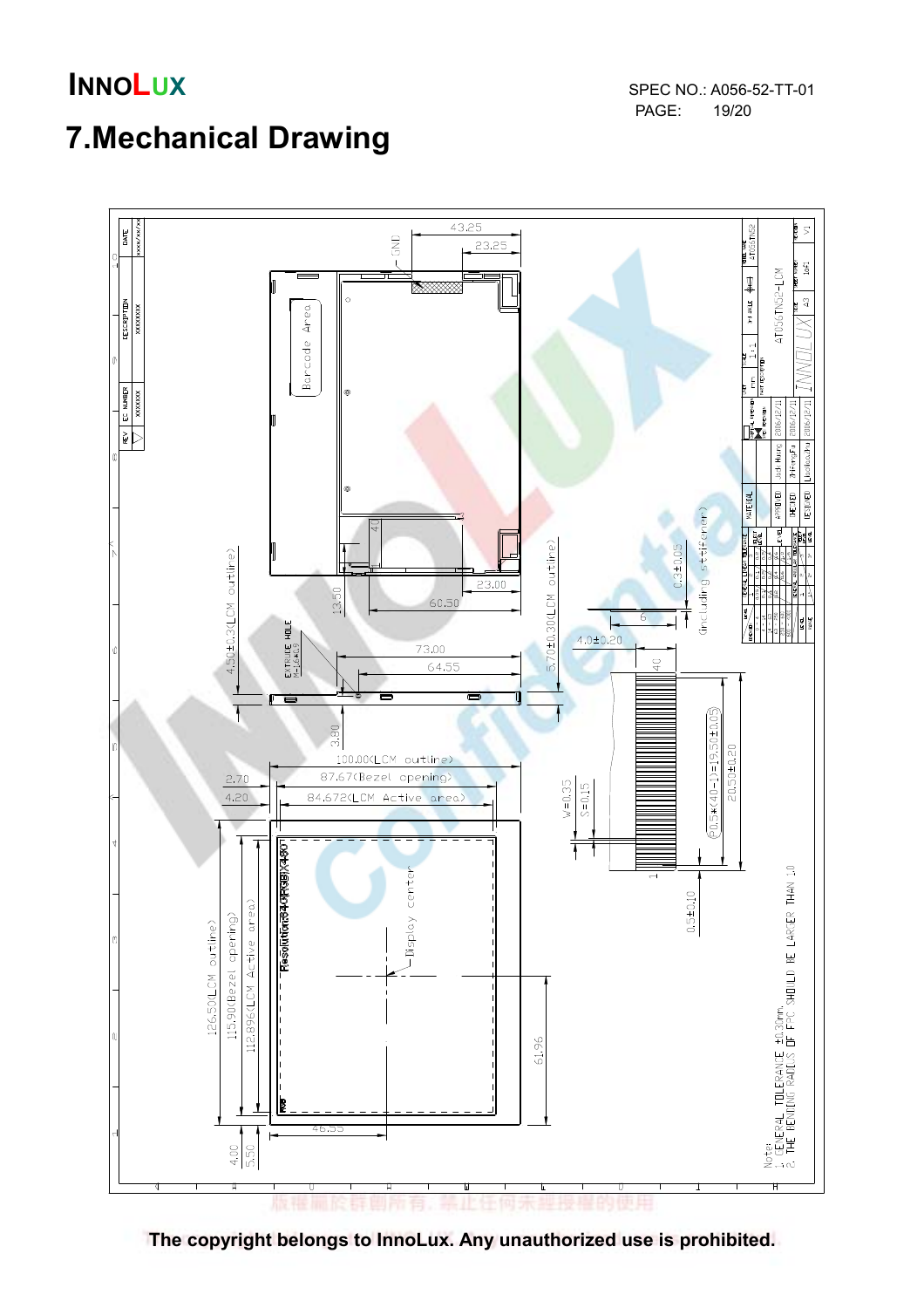**INNOLUX**<br>
SPEC NO.: A056-52-TT-01<br>
PAGE: 19/20 PAGE:

## 7.Mechanical Drawing